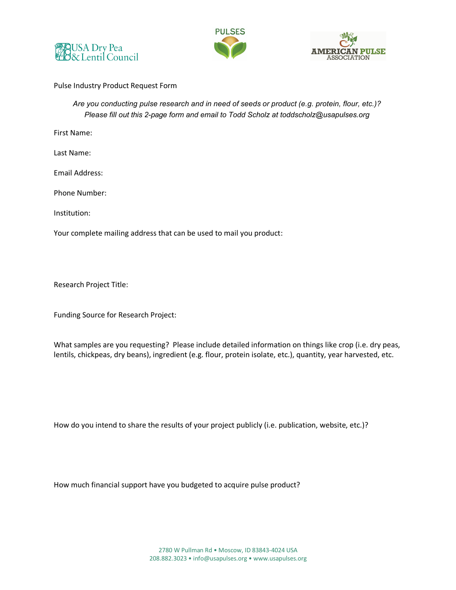





## Pulse Industry Product Request Form

*Are you conducting pulse research and in need of seeds or product (e.g. protein, flour, etc.)? Please fill out this 2-page form and email to Todd Scholz at toddscholz@usapulses.org* 

First Name:

Last Name:

Email Address:

Phone Number:

Institution:

Your complete mailing address that can be used to mail you product:

Research Project Title:

Funding Source for Research Project:

What samples are you requesting? Please include detailed information on things like crop (i.e. dry peas, lentils, chickpeas, dry beans), ingredient (e.g. flour, protein isolate, etc.), quantity, year harvested, etc.

How do you intend to share the results of your project publicly (i.e. publication, website, etc.)?

How much financial support have you budgeted to acquire pulse product?